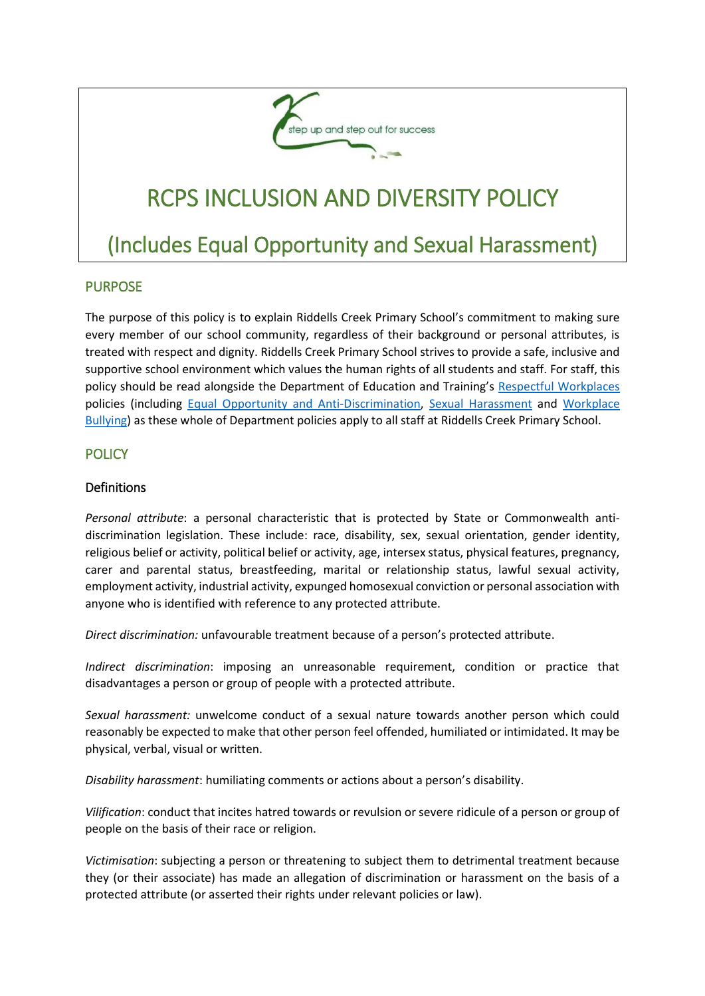

# RCPS INCLUSION AND DIVERSITY POLICY

# (Includes Equal Opportunity and Sexual Harassment)

#### PURPOSE

The purpose of this policy is to explain Riddells Creek Primary School's commitment to making sure every member of our school community, regardless of their background or personal attributes, is treated with respect and dignity. Riddells Creek Primary School strives to provide a safe, inclusive and supportive school environment which values the human rights of all students and staff. For staff, this policy should be read alongside the Department of Education and Training's [Respectful Workplaces](https://www.education.vic.gov.au/hrweb/divequity/Pages/respect.aspx) policies (including [Equal Opportunity and Anti-Discrimination,](https://www.education.vic.gov.au/hrweb/divequity/Pages/default_eeo.aspx) [Sexual Harassment](https://www.education.vic.gov.au/hrweb/divequity/Pages/SexualHarassment.aspx) and [Workplace](https://www.education.vic.gov.au/hrweb/safetyhw/Pages/workplacebullying.aspx)  [Bullying\)](https://www.education.vic.gov.au/hrweb/safetyhw/Pages/workplacebullying.aspx) as these whole of Department policies apply to all staff at Riddells Creek Primary School.

#### **POLICY**

#### Definitions

*Personal attribute*: a personal characteristic that is protected by State or Commonwealth antidiscrimination legislation. These include: race, disability, sex, sexual orientation, gender identity, religious belief or activity, political belief or activity, age, intersex status, physical features, pregnancy, carer and parental status, breastfeeding, marital or relationship status, lawful sexual activity, employment activity, industrial activity, expunged homosexual conviction or personal association with anyone who is identified with reference to any protected attribute.

*Direct discrimination:* unfavourable treatment because of a person's protected attribute.

*Indirect discrimination*: imposing an unreasonable requirement, condition or practice that disadvantages a person or group of people with a protected attribute.

*Sexual harassment:* unwelcome conduct of a sexual nature towards another person which could reasonably be expected to make that other person feel offended, humiliated or intimidated. It may be physical, verbal, visual or written.

*Disability harassment*: humiliating comments or actions about a person's disability.

*Vilification*: conduct that incites hatred towards or revulsion or severe ridicule of a person or group of people on the basis of their race or religion.

*Victimisation*: subjecting a person or threatening to subject them to detrimental treatment because they (or their associate) has made an allegation of discrimination or harassment on the basis of a protected attribute (or asserted their rights under relevant policies or law).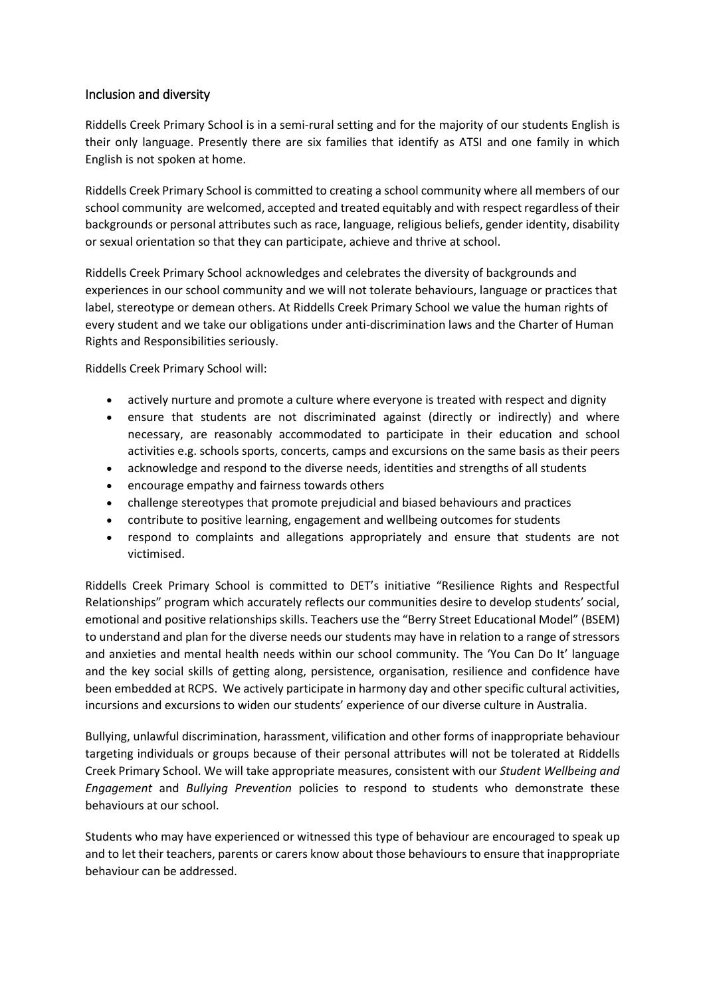#### Inclusion and diversity

Riddells Creek Primary School is in a semi-rural setting and for the majority of our students English is their only language. Presently there are six families that identify as ATSI and one family in which English is not spoken at home.

Riddells Creek Primary School is committed to creating a school community where all members of our school community are welcomed, accepted and treated equitably and with respect regardless of their backgrounds or personal attributes such as race, language, religious beliefs, gender identity, disability or sexual orientation so that they can participate, achieve and thrive at school.

Riddells Creek Primary School acknowledges and celebrates the diversity of backgrounds and experiences in our school community and we will not tolerate behaviours, language or practices that label, stereotype or demean others. At Riddells Creek Primary School we value the human rights of every student and we take our obligations under anti-discrimination laws and the Charter of Human Rights and Responsibilities seriously.

Riddells Creek Primary School will:

- actively nurture and promote a culture where everyone is treated with respect and dignity
- ensure that students are not discriminated against (directly or indirectly) and where necessary, are reasonably accommodated to participate in their education and school activities e.g. schools sports, concerts, camps and excursions on the same basis as their peers
- acknowledge and respond to the diverse needs, identities and strengths of all students
- encourage empathy and fairness towards others
- challenge stereotypes that promote prejudicial and biased behaviours and practices
- contribute to positive learning, engagement and wellbeing outcomes for students
- respond to complaints and allegations appropriately and ensure that students are not victimised.

Riddells Creek Primary School is committed to DET's initiative "Resilience Rights and Respectful Relationships" program which accurately reflects our communities desire to develop students' social, emotional and positive relationships skills. Teachers use the "Berry Street Educational Model" (BSEM) to understand and plan for the diverse needs our students may have in relation to a range of stressors and anxieties and mental health needs within our school community. The 'You Can Do It' language and the key social skills of getting along, persistence, organisation, resilience and confidence have been embedded at RCPS. We actively participate in harmony day and other specific cultural activities, incursions and excursions to widen our students' experience of our diverse culture in Australia.

Bullying, unlawful discrimination, harassment, vilification and other forms of inappropriate behaviour targeting individuals or groups because of their personal attributes will not be tolerated at Riddells Creek Primary School. We will take appropriate measures, consistent with our *Student Wellbeing and Engagement* and *Bullying Prevention* policies to respond to students who demonstrate these behaviours at our school.

Students who may have experienced or witnessed this type of behaviour are encouraged to speak up and to let their teachers, parents or carers know about those behaviours to ensure that inappropriate behaviour can be addressed.